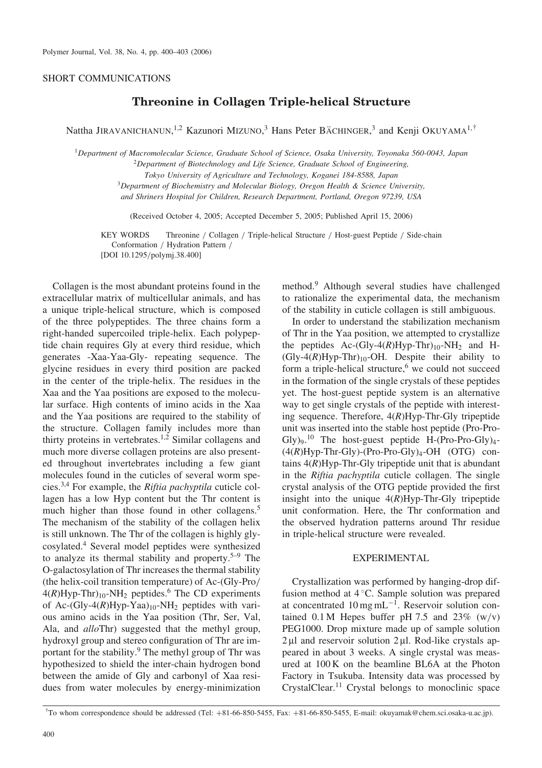# SHORT COMMUNICATIONS

# Threonine in Collagen Triple-helical Structure

Nattha JIRAVANICHANUN,<sup>1,2</sup> Kazunori MIZUNO,<sup>3</sup> Hans Peter BÄCHINGER,<sup>3</sup> and Kenji OKUYAMA<sup>1,†</sup>

<sup>1</sup>Department of Macromolecular Science, Graduate School of Science, Osaka University, Toyonaka 560-0043, Japan

 $2$ Department of Biotechnology and Life Science, Graduate School of Engineering,

Tokyo University of Agriculture and Technology, Koganei 184-8588, Japan

 $3$ Department of Biochemistry and Molecular Biology, Oregon Health & Science University,

and Shriners Hospital for Children, Research Department, Portland, Oregon 97239, USA

(Received October 4, 2005; Accepted December 5, 2005; Published April 15, 2006)

KEY WORDS Threonine / Collagen / Triple-helical Structure / Host-guest Peptide / Side-chain Conformation / Hydration Pattern / [DOI 10.1295/polymj.38.400]

Collagen is the most abundant proteins found in the extracellular matrix of multicellular animals, and has a unique triple-helical structure, which is composed of the three polypeptides. The three chains form a right-handed supercoiled triple-helix. Each polypeptide chain requires Gly at every third residue, which generates -Xaa-Yaa-Gly- repeating sequence. The glycine residues in every third position are packed in the center of the triple-helix. The residues in the Xaa and the Yaa positions are exposed to the molecular surface. High contents of imino acids in the Xaa and the Yaa positions are required to the stability of the structure. Collagen family includes more than thirty proteins in vertebrates.<sup>1,2</sup> Similar collagens and much more diverse collagen proteins are also presented throughout invertebrates including a few giant molecules found in the cuticles of several worm species.3,4 For example, the Riftia pachyptila cuticle collagen has a low Hyp content but the Thr content is much higher than those found in other collagens.<sup>5</sup> The mechanism of the stability of the collagen helix is still unknown. The Thr of the collagen is highly glycosylated.4 Several model peptides were synthesized to analyze its thermal stability and property.5–9 The O-galactosylation of Thr increases the thermal stability (the helix-coil transition temperature) of Ac-(Gly-Pro/  $4(R)Hyp-Thr$ <sub>10</sub>-NH<sub>2</sub> peptides.<sup>6</sup> The CD experiments of Ac-(Gly-4(R)Hyp-Yaa)<sub>10</sub>-NH<sub>2</sub> peptides with various amino acids in the Yaa position (Thr, Ser, Val, Ala, and *allo*Thr) suggested that the methyl group, hydroxyl group and stereo configuration of Thr are important for the stability.<sup>9</sup> The methyl group of Thr was hypothesized to shield the inter-chain hydrogen bond between the amide of Gly and carbonyl of Xaa residues from water molecules by energy-minimization method.<sup>9</sup> Although several studies have challenged to rationalize the experimental data, the mechanism of the stability in cuticle collagen is still ambiguous.

In order to understand the stabilization mechanism of Thr in the Yaa position, we attempted to crystallize the peptides Ac-(Gly-4(R)Hyp-Thr) $_{10}$ -NH<sub>2</sub> and H- $(Gly-4(R)Hyp-Thr)_{10}$ -OH. Despite their ability to form a triple-helical structure,<sup>6</sup> we could not succeed in the formation of the single crystals of these peptides yet. The host-guest peptide system is an alternative way to get single crystals of the peptide with interesting sequence. Therefore,  $4(R)$ Hyp-Thr-Gly tripeptide unit was inserted into the stable host peptide (Pro-Pro-Gly)<sub>9</sub>.<sup>10</sup> The host-guest peptide H-(Pro-Pro-Gly)<sub>4</sub>- $(4(R)Hyp-Thr-Gly)-(Pro-Pro-Gly)<sub>4</sub>-OH (OTG)$  contains  $4(R)$ Hyp-Thr-Gly tripeptide unit that is abundant in the Riftia pachyptila cuticle collagen. The single crystal analysis of the OTG peptide provided the first insight into the unique  $4(R)$ Hyp-Thr-Gly tripeptide unit conformation. Here, the Thr conformation and the observed hydration patterns around Thr residue in triple-helical structure were revealed.

## EXPERIMENTAL

Crystallization was performed by hanging-drop diffusion method at  $4^{\circ}$ C. Sample solution was prepared at concentrated  $10 \,\text{mg}\,\text{mL}^{-1}$ . Reservoir solution contained  $0.1 M$  Hepes buffer pH 7.5 and 23% (w/v) PEG1000. Drop mixture made up of sample solution  $2 \mu$ l and reservoir solution  $2 \mu$ l. Rod-like crystals appeared in about 3 weeks. A single crystal was measured at 100 K on the beamline BL6A at the Photon Factory in Tsukuba. Intensity data was processed by CrystalClear.<sup>11</sup> Crystal belongs to monoclinic space

<sup>&</sup>lt;sup>†</sup>To whom correspondence should be addressed (Tel: +81-66-850-5455, Fax: +81-66-850-5455, E-mail: okuyamak@chem.sci.osaka-u.ac.jp).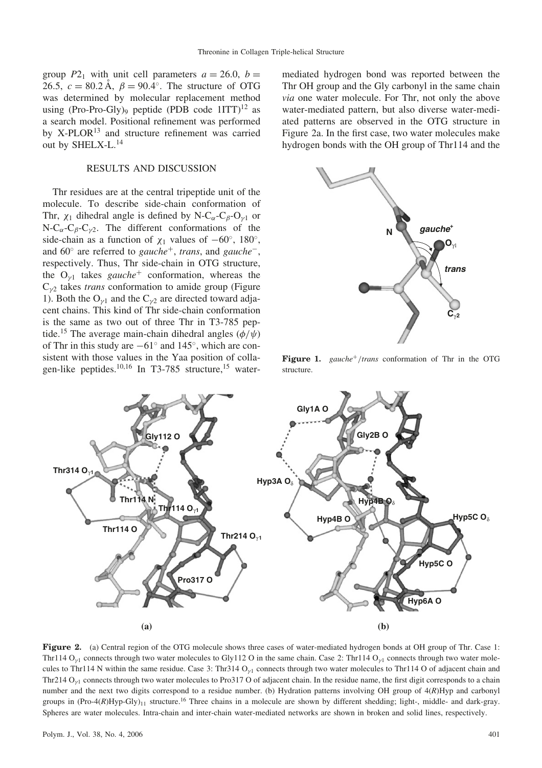group  $P2_1$  with unit cell parameters  $a = 26.0, b =$ 26.5,  $c = 80.2 \text{ Å}$ ,  $\beta = 90.4^{\circ}$ . The structure of OTG was determined by molecular replacement method using (Pro-Pro-Gly)<sub>9</sub> peptide (PDB code  $1ITT$ )<sup>12</sup> as a search model. Positional refinement was performed by  $X-PLOR<sup>13</sup>$  and structure refinement was carried out by SHELX-L.14

### RESULTS AND DISCUSSION

Thr residues are at the central tripeptide unit of the molecule. To describe side-chain conformation of Thr,  $\chi_1$  dihedral angle is defined by N-C<sub> $\alpha$ </sub>-C<sub> $\beta$ </sub>-O<sub> $\gamma$ 1</sub> or N-C<sub> $\alpha$ </sub>-C<sub> $\beta$ </sub>-C<sub> $\gamma$ 2</sub>. The different conformations of the side-chain as a function of  $\chi_1$  values of  $-60^\circ$ , 180°, and  $60^{\circ}$  are referred to *gauche*<sup>+</sup>, *trans*, and *gauche*<sup>-</sup>, respectively. Thus, Thr side-chain in OTG structure, the  $O_{\gamma 1}$  takes gauche<sup>+</sup> conformation, whereas the  $C_{\gamma2}$  takes *trans* conformation to amide group (Figure 1). Both the  $O_{v1}$  and the  $C_{v2}$  are directed toward adjacent chains. This kind of Thr side-chain conformation is the same as two out of three Thr in T3-785 peptide.<sup>15</sup> The average main-chain dihedral angles ( $\phi/\psi$ ) of Thr in this study are  $-61^\circ$  and  $145^\circ$ , which are consistent with those values in the Yaa position of collagen-like peptides.<sup>10,16</sup> In T3-785 structure,<sup>15</sup> watermediated hydrogen bond was reported between the Thr OH group and the Gly carbonyl in the same chain via one water molecule. For Thr, not only the above water-mediated pattern, but also diverse water-mediated patterns are observed in the OTG structure in Figure 2a. In the first case, two water molecules make hydrogen bonds with the OH group of Thr114 and the



**Figure 1.** gauche<sup> $+$ </sup>/trans conformation of Thr in the OTG structure.



Figure 2. (a) Central region of the OTG molecule shows three cases of water-mediated hydrogen bonds at OH group of Thr. Case 1: Thr114  $O_{v1}$  connects through two water molecules to Gly112 O in the same chain. Case 2: Thr114  $O_{v1}$  connects through two water molecules to Thr114 N within the same residue. Case 3: Thr314  $O<sub>y1</sub>$  connects through two water molecules to Thr114 O of adjacent chain and Thr214  $O_{v1}$  connects through two water molecules to Pro317 O of adjacent chain. In the residue name, the first digit corresponds to a chain number and the next two digits correspond to a residue number. (b) Hydration patterns involving OH group of  $4(R)Hyp$  and carbonyl groups in  $(Pro-4(R)Hyp-Gly)_{11}$  structure.<sup>16</sup> Three chains in a molecule are shown by different shedding; light-, middle- and dark-gray. Spheres are water molecules. Intra-chain and inter-chain water-mediated networks are shown in broken and solid lines, respectively.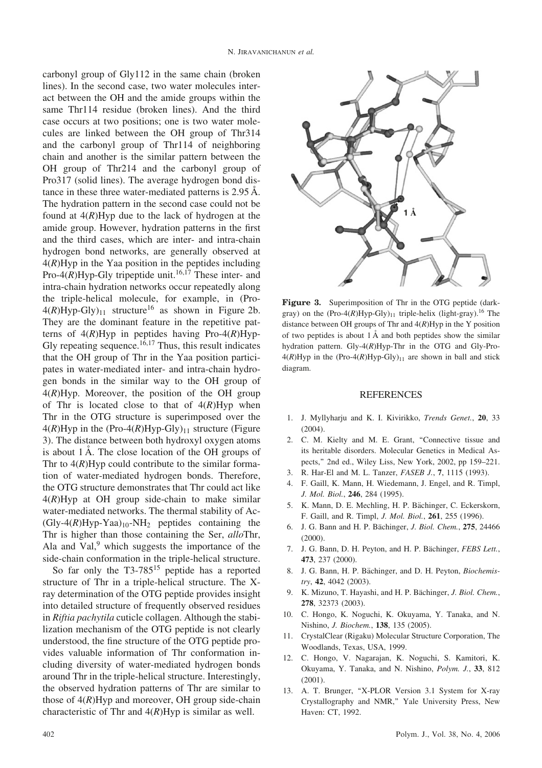carbonyl group of Gly112 in the same chain (broken lines). In the second case, two water molecules interact between the OH and the amide groups within the same Thr114 residue (broken lines). And the third case occurs at two positions; one is two water molecules are linked between the OH group of Thr314 and the carbonyl group of Thr114 of neighboring chain and another is the similar pattern between the OH group of Thr214 and the carbonyl group of Pro317 (solid lines). The average hydrogen bond distance in these three water-mediated patterns is  $2.95 \text{ Å}$ . The hydration pattern in the second case could not be found at  $4(R)$ Hyp due to the lack of hydrogen at the amide group. However, hydration patterns in the first and the third cases, which are inter- and intra-chain hydrogen bond networks, are generally observed at  $4(R)$ Hyp in the Yaa position in the peptides including Pro-4( $\hat{R}$ )Hyp-Gly tripeptide unit.<sup>16,17</sup> These inter- and intra-chain hydration networks occur repeatedly along the triple-helical molecule, for example, in (Pro- $4(R)Hyp-Gly<sub>11</sub> structure<sup>16</sup> as shown in Figure 2b.$ They are the dominant feature in the repetitive patterns of  $4(R)$ Hyp in peptides having Pro-4 $(R)$ Hyp-Gly repeating sequence.<sup>16,17</sup> Thus, this result indicates that the OH group of Thr in the Yaa position participates in water-mediated inter- and intra-chain hydrogen bonds in the similar way to the OH group of  $4(R)$ Hyp. Moreover, the position of the OH group of Thr is located close to that of  $4(R)Hyp$  when Thr in the OTG structure is superimposed over the  $4(R)$ Hyp in the (Pro-4(R)Hyp-Gly)<sub>11</sub> structure (Figure 3). The distance between both hydroxyl oxygen atoms is about 1 A. The close location of the OH groups of Thr to  $4(R)$ Hyp could contribute to the similar formation of water-mediated hydrogen bonds. Therefore, the OTG structure demonstrates that Thr could act like  $4(R)$ Hyp at OH group side-chain to make similar water-mediated networks. The thermal stability of Ac-  $(Gly-4(R)Hyp-Yaa)_{10}-NH_2$  peptides containing the Thr is higher than those containing the Ser, alloThr, Ala and Val, $9$  which suggests the importance of the side-chain conformation in the triple-helical structure.

So far only the  $T3-785^{15}$  peptide has a reported structure of Thr in a triple-helical structure. The Xray determination of the OTG peptide provides insight into detailed structure of frequently observed residues in Riftia pachytila cuticle collagen. Although the stabilization mechanism of the OTG peptide is not clearly understood, the fine structure of the OTG peptide provides valuable information of Thr conformation including diversity of water-mediated hydrogen bonds around Thr in the triple-helical structure. Interestingly, the observed hydration patterns of Thr are similar to those of  $4(R)$ Hyp and moreover, OH group side-chain characteristic of Thr and  $4(R)$ Hyp is similar as well.



Figure 3. Superimposition of Thr in the OTG peptide (darkgray) on the  $(Pro-4(R)Hyp-Gly)_{11}$  triple-helix (light-gray).<sup>16</sup> The distance between OH groups of Thr and  $4(R)$ Hyp in the Y position of two peptides is about  $1 \text{ Å}$  and both peptides show the similar hydration pattern. Gly-4(R)Hyp-Thr in the OTG and Gly-Pro- $4(R)$ Hyp in the (Pro-4(R)Hyp-Gly)<sub>11</sub> are shown in ball and stick diagram.

#### REFERENCES

- 1. J. Myllyharju and K. I. Kivirikko, Trends Genet., 20, 33 (2004).
- 2. C. M. Kielty and M. E. Grant, ''Connective tissue and its heritable disorders. Molecular Genetics in Medical Aspects,'' 2nd ed., Wiley Liss, New York, 2002, pp 159–221.
- 3. R. Har-El and M. L. Tanzer, FASEB J., 7, 1115 (1993).
- 4. F. Gaill, K. Mann, H. Wiedemann, J. Engel, and R. Timpl, J. Mol. Biol., 246, 284 (1995).
- 5. K. Mann, D. E. Mechling, H. P. Bächinger, C. Eckerskorn, F. Gaill, and R. Timpl, J. Mol. Biol., 261, 255 (1996).
- 6. J. G. Bann and H. P. Bächinger, *J. Biol. Chem.*, 275, 24466 (2000).
- 7. J. G. Bann, D. H. Peyton, and H. P. Bächinger, FEBS Lett., 473, 237 (2000).
- 8. J. G. Bann, H. P. Bächinger, and D. H. Peyton, Biochemistry, 42, 4042 (2003).
- 9. K. Mizuno, T. Hayashi, and H. P. Bächinger, J. Biol. Chem., 278, 32373 (2003).
- 10. C. Hongo, K. Noguchi, K. Okuyama, Y. Tanaka, and N. Nishino, J. Biochem., 138, 135 (2005).
- 11. CrystalClear (Rigaku) Molecular Structure Corporation, The Woodlands, Texas, USA, 1999.
- 12. C. Hongo, V. Nagarajan, K. Noguchi, S. Kamitori, K. Okuyama, Y. Tanaka, and N. Nishino, Polym. J., 33, 812 (2001).
- 13. A. T. Brunger, ''X-PLOR Version 3.1 System for X-ray Crystallography and NMR,'' Yale University Press, New Haven: CT, 1992.